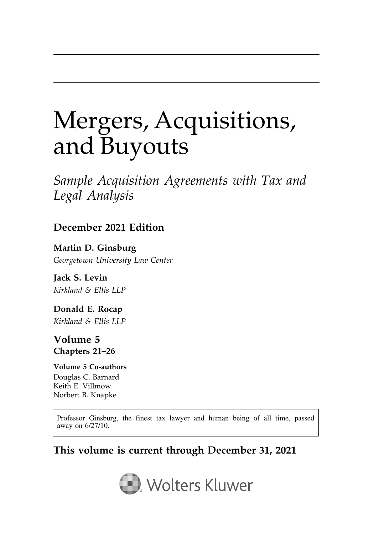# Mergers, Acquisitions, and Buyouts

Sample Acquisition Agreements with Tax and Legal Analysis

### December 2021 Edition

Martin D. Ginsburg Georgetown University Law Center

Jack S. Levin Kirkland & Ellis LLP

Donald E. Rocap Kirkland & Ellis LLP

Volume 5 Chapters 21–26

Volume 5 Co-authors Douglas C. Barnard Keith E. Villmow Norbert B. Knapke

Professor Ginsburg, the finest tax lawyer and human being of all time, passed away on 6/27/10.

### This volume is current through December 31, 2021

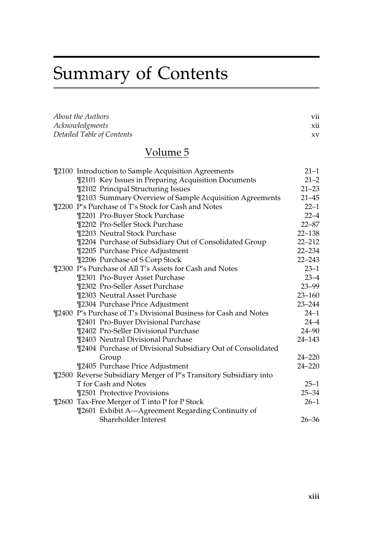# Summary of Contents

| About the Authors          | V11 |
|----------------------------|-----|
| Acknowledgments            | X11 |
| Detailed Table of Contents | xv  |

### Volume 5

| ¶2100 Introduction to Sample Acquisition Agreements               | $21 - 1$   |
|-------------------------------------------------------------------|------------|
| ¶2101 Key Issues in Preparing Acquisition Documents               | $21 - 2$   |
| ¶2102 Principal Structuring Issues                                | $21 - 23$  |
| ¶2103 Summary Overview of Sample Acquisition Agreements           | $21 - 45$  |
| ¶2200 P's Purchase of T's Stock for Cash and Notes                | $22 - 1$   |
| ¶2201 Pro-Buyer Stock Purchase                                    | $22 - 4$   |
| ¶2202 Pro-Seller Stock Purchase                                   | $22 - 87$  |
| ¶2203 Neutral Stock Purchase                                      | $22 - 138$ |
| ¶2204 Purchase of Subsidiary Out of Consolidated Group            | $22 - 212$ |
| ¶2205 Purchase Price Adjustment                                   | $22 - 234$ |
| <b>T2206 Purchase of S Corp Stock</b>                             | $22 - 243$ |
| ¶2300 P's Purchase of All T's Assets for Cash and Notes           | $23 - 1$   |
| ¶2301 Pro-Buyer Asset Purchase                                    | $23 - 4$   |
| ¶2302 Pro-Seller Asset Purchase                                   | $23 - 99$  |
| ¶2303 Neutral Asset Purchase                                      | $23 - 160$ |
| ¶2304 Purchase Price Adjustment                                   | $23 - 244$ |
| ¶2400 P's Purchase of T's Divisional Business for Cash and Notes  | $24 - 1$   |
| ¶2401 Pro-Buyer Divisional Purchase                               | $24 - 4$   |
| ¶2402 Pro-Seller Divisional Purchase                              | $24 - 90$  |
| ¶2403 Neutral Divisional Purchase                                 | $24 - 143$ |
| ¶2404 Purchase of Divisional Subsidiary Out of Consolidated       |            |
| Group                                                             | $24 - 220$ |
| ¶2405 Purchase Price Adjustment                                   | $24 - 220$ |
| ¶2500 Reverse Subsidiary Merger of P's Transitory Subsidiary into |            |
| T for Cash and Notes                                              | $25 - 1$   |
| ¶2501 Protective Provisions                                       | $25 - 34$  |
| ¶2600 Tax-Free Merger of T into P for P Stock                     | $26 - 1$   |
| ¶2601 Exhibit A-Agreement Regarding Continuity of                 |            |
| Shareholder Interest                                              | $26 - 36$  |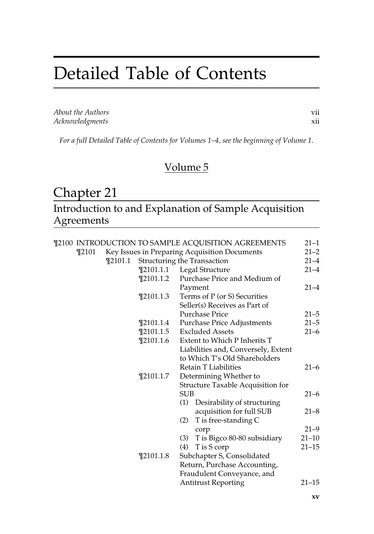## Detailed Table of Contents

About the Authors vii Acknowledgments xii

For a full Detailed Table of Contents for Volumes 1–4, see the beginning of Volume 1.

### Volume 5

### Chapter 21

Introduction to and Explanation of Sample Acquisition Agreements

|       |         |               | ¶2100 INTRODUCTION TO SAMPLE ACQUISITION AGREEMENTS | $21 - 1$  |
|-------|---------|---------------|-----------------------------------------------------|-----------|
| ¶2101 |         |               | Key Issues in Preparing Acquisition Documents       | $21 - 2$  |
|       | ¶2101.1 |               | <b>Structuring the Transaction</b>                  | $21 - 4$  |
|       |         |               | ¶2101.1.1 Legal Structure                           | $21 - 4$  |
|       |         | $\P$ 2101.1.2 | Purchase Price and Medium of                        |           |
|       |         |               | Payment                                             | $21 - 4$  |
|       |         | $\P$ 2101.1.3 | Terms of P (or S) Securities                        |           |
|       |         |               | Seller(s) Receives as Part of                       |           |
|       |         |               | <b>Purchase Price</b>                               | $21 - 5$  |
|       |         | $\P$ 2101.1.4 | <b>Purchase Price Adjustments</b>                   | $21 - 5$  |
|       |         | $\P$ 2101.1.5 | <b>Excluded Assets</b>                              | $21 - 6$  |
|       |         | $\P$ 2101.1.6 | Extent to Which P Inherits T                        |           |
|       |         |               | Liabilities and, Conversely, Extent                 |           |
|       |         |               | to Which T's Old Shareholders                       |           |
|       |         |               | <b>Retain T Liabilities</b>                         | $21 - 6$  |
|       |         | $\P$ 2101.1.7 | Determining Whether to                              |           |
|       |         |               | <b>Structure Taxable Acquisition for</b>            |           |
|       |         |               | <b>SUB</b>                                          | $21 - 6$  |
|       |         |               | Desirability of structuring<br>(1)                  |           |
|       |         |               | acquisition for full SUB                            | $21 - 8$  |
|       |         |               | T is free-standing C<br>(2)                         |           |
|       |         |               | corp                                                | $21 - 9$  |
|       |         |               | T is Bigco 80-80 subsidiary<br>(3)                  | $21 - 10$ |
|       |         |               | T is S corp<br>(4)                                  | $21 - 15$ |
|       |         | $\P$ 2101.1.8 | Subchapter S, Consolidated                          |           |
|       |         |               | Return, Purchase Accounting,                        |           |
|       |         |               | Fraudulent Conveyance, and                          |           |
|       |         |               | <b>Antitrust Reporting</b>                          | $21 - 15$ |
|       |         |               |                                                     |           |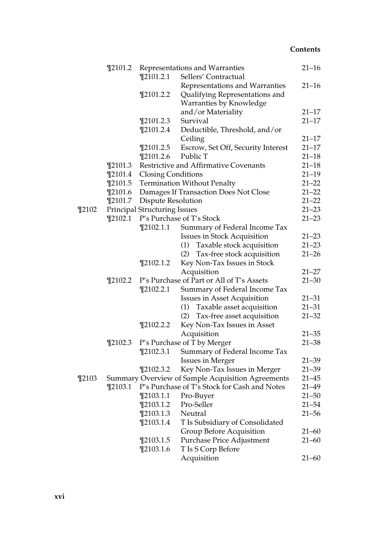|           | $\P$ 2101.2 |                                     | Representations and Warranties                    | $21 - 16$ |
|-----------|-------------|-------------------------------------|---------------------------------------------------|-----------|
|           |             | $\P$ 2101.2.1                       | Sellers' Contractual                              |           |
|           |             |                                     | Representations and Warranties                    | $21 - 16$ |
|           |             | $\P$ 2101.2.2                       | Qualifying Representations and                    |           |
|           |             |                                     | Warranties by Knowledge                           |           |
|           |             |                                     | and/or Materiality                                | $21 - 17$ |
|           |             | $\P$ 2101.2.3                       | Survival                                          | $21 - 17$ |
|           |             | $\P$ 2101.2.4                       | Deductible, Threshold, and/or                     |           |
|           |             |                                     | Ceiling                                           | 21–17     |
|           |             | $\P$ 2101.2.5                       | Escrow, Set Off, Security Interest                | $21 - 17$ |
|           |             | $\P$ 2101.2.6                       | Public T                                          | $21 - 18$ |
|           | $\P$ 2101.3 |                                     | Restrictive and Affirmative Covenants             | $21 - 18$ |
|           | $\P$ 2101.4 | <b>Closing Conditions</b>           |                                                   | $21 - 19$ |
|           | $\P$ 2101.5 |                                     | <b>Termination Without Penalty</b>                | $21 - 22$ |
|           | $\P$ 2101.6 |                                     | Damages If Transaction Does Not Close             | $21 - 22$ |
|           | $\P$ 2101.7 | Dispute Resolution                  |                                                   | $21 - 22$ |
| $\P$ 2102 |             | <b>Principal Structuring Issues</b> |                                                   | $21 - 23$ |
|           | $\P$ 2102.1 |                                     | P's Purchase of T's Stock                         | $21 - 23$ |
|           |             | $\P$ 2102.1.1                       | Summary of Federal Income Tax                     |           |
|           |             |                                     | <b>Issues in Stock Acquisition</b>                | $21 - 23$ |
|           |             |                                     | Taxable stock acquisition<br>(1)                  | $21 - 23$ |
|           |             |                                     | (2) Tax-free stock acquisition                    | $21 - 26$ |
|           |             | $\P$ 2102.1.2                       | Key Non-Tax Issues in Stock                       |           |
|           |             |                                     | Acquisition                                       | $21 - 27$ |
|           | $\P$ 2102.2 |                                     | P's Purchase of Part or All of T's Assets         | $21 - 30$ |
|           |             | $\P$ 2102.2.1                       | Summary of Federal Income Tax                     |           |
|           |             |                                     | Issues in Asset Acquisition                       | $21 - 31$ |
|           |             |                                     | Taxable asset acquisition<br>(1)                  | $21 - 31$ |
|           |             |                                     | (2) Tax-free asset acquisition                    | $21 - 32$ |
|           |             | $\P$ 2102.2.2                       | Key Non-Tax Issues in Asset                       |           |
|           |             |                                     | Acquisition                                       | $21 - 35$ |
|           | $\P$ 2102.3 |                                     | P's Purchase of T by Merger                       | $21 - 38$ |
|           |             | $\P$ 2102.3.1                       | Summary of Federal Income Tax                     |           |
|           |             |                                     | <b>Issues in Merger</b>                           | $21 - 39$ |
|           |             | $\P$ 2102.3.2                       | Key Non-Tax Issues in Merger                      | $21 - 39$ |
| $\P$ 2103 |             |                                     | Summary Overview of Sample Acquisition Agreements | $21 - 45$ |
|           | $\P$ 2103.1 |                                     | P's Purchase of T's Stock for Cash and Notes      | $21 - 49$ |
|           |             |                                     | ¶2103.1.1 Pro-Buyer                               | $21 - 50$ |
|           |             | $\P$ 2103.1.2                       | Pro-Seller                                        | 21–54     |
|           |             | $\P$ 2103.1.3                       | Neutral                                           | $21 - 56$ |
|           |             | $\P$ 2103.1.4                       | T Is Subsidiary of Consolidated                   |           |
|           |             |                                     | Group Before Acquisition                          | $21 - 60$ |
|           |             | $\P$ 2103.1.5                       | Purchase Price Adjustment                         | 21–60     |
|           |             | $\P$ 2103.1.6                       | T Is S Corp Before                                |           |
|           |             |                                     | Acquisition                                       | $21 - 60$ |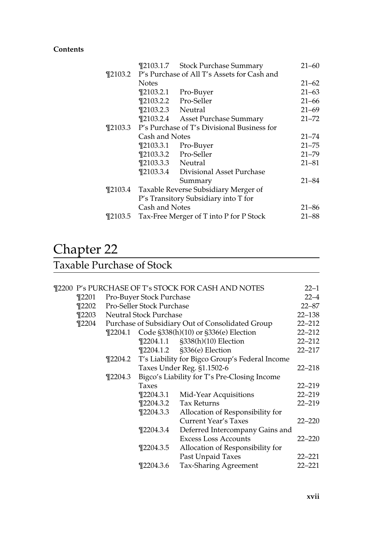|             |                   | ¶2103.1.7 Stock Purchase Summary                    | $21 - 60$ |
|-------------|-------------------|-----------------------------------------------------|-----------|
|             |                   | ¶2103.2 P's Purchase of All T's Assets for Cash and |           |
|             | <b>Notes</b>      |                                                     | $21 - 62$ |
|             | $\P$ 2103.2.1     | Pro-Buyer                                           | $21 - 63$ |
|             |                   | ¶2103.2.2 Pro-Seller                                | $21 - 66$ |
|             | ¶2103.2.3 Neutral |                                                     | $21 - 69$ |
|             | $\P$ 2103.2.4     | Asset Purchase Summary                              | $21 - 72$ |
| $\P$ 2103.3 |                   | P's Purchase of T's Divisional Business for         |           |
|             | Cash and Notes    |                                                     | $21 - 74$ |
|             | $\P$ 2103.3.1     | Pro-Buyer                                           | $21 - 75$ |
|             |                   | ¶2103.3.2 Pro-Seller                                | $21 - 79$ |
|             | ¶2103.3.3 Neutral |                                                     | $21 - 81$ |
|             |                   | ¶2103.3.4 Divisional Asset Purchase                 |           |
|             |                   | Summary                                             | $21 - 84$ |
| $\P$ 2103.4 |                   | Taxable Reverse Subsidiary Merger of                |           |
|             |                   | P's Transitory Subsidiary into T for                |           |
|             | Cash and Notes    |                                                     | 21–86     |
| ¶2103.5     |                   | Tax-Free Merger of T into P for P Stock             | 21–88     |

## Chapter 22

### Taxable Purchase of Stock

|  |           |             |                           | ¶2200 P's PURCHASE OF T's STOCK FOR CASH AND NOTES     | $22 - 1$   |
|--|-----------|-------------|---------------------------|--------------------------------------------------------|------------|
|  | ¶2201     |             | Pro-Buyer Stock Purchase  |                                                        | $22 - 4$   |
|  | $\P2202$  |             | Pro-Seller Stock Purchase |                                                        | $22 - 87$  |
|  | $\P$ 2203 |             | Neutral Stock Purchase    |                                                        | $22 - 138$ |
|  | $\P$ 2204 |             |                           | Purchase of Subsidiary Out of Consolidated Group       | $22 - 212$ |
|  |           | ¶2204.1     |                           | Code §338(h)(10) or §336(e) Election                   | $22 - 212$ |
|  |           |             |                           | ¶2204.1.1 §338(h)(10) Election                         | $22 - 212$ |
|  |           |             |                           | ¶2204.1.2 §336(e) Election                             | $22 - 217$ |
|  |           |             |                           | ¶2204.2 T's Liability for Bigco Group's Federal Income |            |
|  |           |             |                           | Taxes Under Reg. §1.1502-6                             | $22 - 218$ |
|  |           | $\P$ 2204.3 |                           | Bigco's Liability for T's Pre-Closing Income           |            |
|  |           |             | <b>Taxes</b>              |                                                        | $22 - 219$ |
|  |           |             | ¶2204.3.1                 | Mid-Year Acquisitions                                  | $22 - 219$ |
|  |           |             |                           | ¶2204.3.2 Tax Returns                                  | $22 - 219$ |
|  |           |             | $\P$ 2204.3.3             | Allocation of Responsibility for                       |            |
|  |           |             |                           | <b>Current Year's Taxes</b>                            | $22 - 220$ |
|  |           |             | $\P$ 2204.3.4             | Deferred Intercompany Gains and                        |            |
|  |           |             |                           | <b>Excess Loss Accounts</b>                            | $22 - 220$ |
|  |           |             | $\P$ 2204.3.5             | Allocation of Responsibility for                       |            |
|  |           |             |                           | Past Unpaid Taxes                                      | 22–221     |
|  |           |             | $\P$ 2204.3.6             | Tax-Sharing Agreement                                  | $22 - 221$ |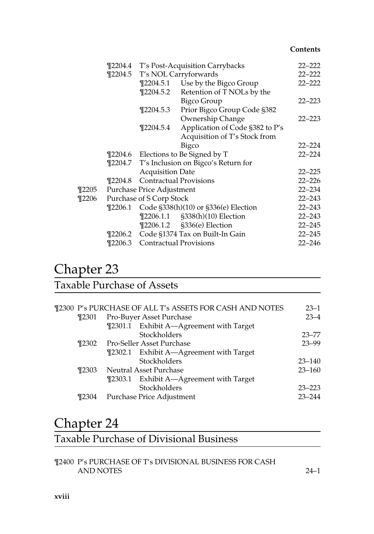|          |                          |                           | ¶2204.4 T's Post-Acquisition Carrybacks     | $22 - 222$ |
|----------|--------------------------|---------------------------|---------------------------------------------|------------|
|          | $\P$ 2204.5              |                           | T's NOL Carryforwards                       | $22 - 222$ |
|          |                          |                           | ¶2204.5.1 Use by the Bigco Group            | $22 - 222$ |
|          |                          | $\P$ 2204.5.2             | Retention of T NOLs by the                  |            |
|          |                          |                           | <b>Bigco Group</b>                          | $22 - 223$ |
|          |                          | $\P$ 2204.5.3             | Prior Bigco Group Code §382                 |            |
|          |                          |                           | Ownership Change                            | $22 - 223$ |
|          |                          | ¶2204.5.4                 | Application of Code §382 to P's             |            |
|          |                          |                           | Acquisition of T's Stock from               |            |
|          |                          |                           | Bigco                                       | $22 - 224$ |
|          |                          |                           | ¶2204.6 Elections to Be Signed by T         | $22 - 224$ |
|          |                          |                           | ¶2204.7 T's Inclusion on Bigco's Return for |            |
|          |                          | <b>Acquisition Date</b>   |                                             | $22 - 225$ |
|          | $\P2204.8$               |                           | <b>Contractual Provisions</b>               | $22 - 226$ |
| $\P2205$ |                          | Purchase Price Adjustment |                                             | $22 - 234$ |
| ¶2206    | Purchase of S Corp Stock | $22 - 243$                |                                             |            |
|          | $\P$ 2206.1              |                           | Code §338(h)(10) or §336(e) Election        | $22 - 243$ |
|          |                          |                           | [2206.1.1 §338(h)(10) Election              | $22 - 243$ |
|          |                          |                           | ¶2206.1.2 §336(e) Election                  | $22 - 245$ |
|          |                          |                           | ¶2206.2 Code §1374 Tax on Built-In Gain     | $22 - 245$ |
|          |                          |                           | <b>T2206.3</b> Contractual Provisions       | $22 - 246$ |
|          |                          |                           |                                             |            |

## Chapter 23

### Taxable Purchase of Assets

|                   | ¶2300 P's PURCHASE OF ALL T's ASSETS FOR CASH AND NOTES | $23 - 1$   |
|-------------------|---------------------------------------------------------|------------|
| $\P$ 2301         | Pro-Buyer Asset Purchase                                | $23 - 4$   |
|                   | ¶2301.1 Exhibit A—Agreement with Target                 |            |
|                   | Stockholders                                            | $23 - 77$  |
| T2302             | <b>Pro-Seller Asset Purchase</b>                        | $23 - 99$  |
|                   | ¶2302.1 Exhibit A—Agreement with Target                 |            |
|                   | Stockholders                                            | $23 - 140$ |
| T <sub>2303</sub> | <b>Neutral Asset Purchase</b>                           | $23 - 160$ |
|                   | ¶2303.1 Exhibit A—Agreement with Target                 |            |
|                   | Stockholders                                            | $23 - 223$ |
| ¶2304             | Purchase Price Adjustment                               | $23 - 244$ |
|                   |                                                         |            |

## Chapter 24

### Taxable Purchase of Divisional Business

¶2400 P's PURCHASE OF T's DIVISIONAL BUSINESS FOR CASH AND NOTES 24–1